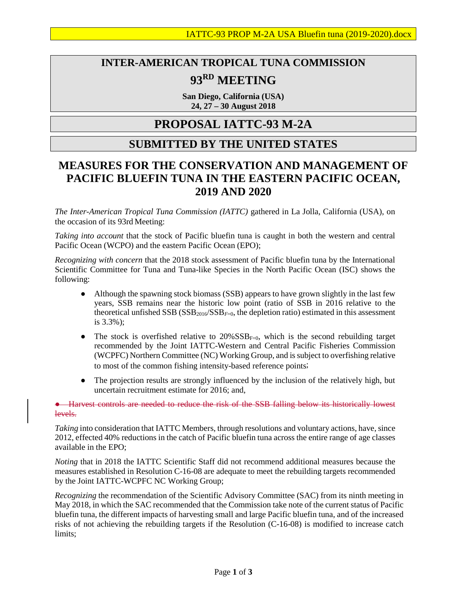## **INTER-AMERICAN TROPICAL TUNA COMMISSION 93RD MEETING**

**San Diego, California (USA) 24, 27 – 30 August 2018**

## **PROPOSAL IATTC-93 M-2A**

## **SUBMITTED BY THE UNITED STATES**

## **MEASURES FOR THE CONSERVATION AND MANAGEMENT OF PACIFIC BLUEFIN TUNA IN THE EASTERN PACIFIC OCEAN, 2019 AND 2020**

*The Inter-American Tropical Tuna Commission (IATTC)* gathered in La Jolla, California (USA), on the occasion of its 93rd Meeting:

*Taking into account* that the stock of Pacific bluefin tuna is caught in both the western and central Pacific Ocean (WCPO) and the eastern Pacific Ocean (EPO);

*Recognizing with concern* that the 2018 stock assessment of Pacific bluefin tuna by the International Scientific Committee for Tuna and Tuna-like Species in the North Pacific Ocean (ISC) shows the following:

- Although the spawning stock biomass (SSB) appears to have grown slightly in the last few years, SSB remains near the historic low point (ratio of SSB in 2016 relative to the theoretical unfished SSB (SSB<sub>2016</sub>/SSB<sub>F=0</sub>, the depletion ratio) estimated in this assessment is 3.3%);
- The stock is overfished relative to  $20\% SSB_{F=0}$ , which is the second rebuilding target recommended by the Joint IATTC-Western and Central Pacific Fisheries Commission (WCPFC) Northern Committee (NC) Working Group, and is subject to overfishing relative to most of the common fishing intensity-based reference points;
- The projection results are strongly influenced by the inclusion of the relatively high, but uncertain recruitment estimate for 2016; and,

● Harvest controls are needed to reduce the risk of the SSB falling below its historically lowest levels.

*Taking* into consideration that IATTC Members, through resolutions and voluntary actions, have, since 2012, effected 40% reductions in the catch of Pacific bluefin tuna across the entire range of age classes available in the EPO;

*Noting* that in 2018 the IATTC Scientific Staff did not recommend additional measures because the measures established in Resolution C-16-08 are adequate to meet the rebuilding targets recommended by the Joint IATTC-WCPFC NC Working Group;

*Recognizing* the recommendation of the Scientific Advisory Committee (SAC) from its ninth meeting in May 2018, in which the SAC recommended that the Commission take note of the current status of Pacific bluefin tuna, the different impacts of harvesting small and large Pacific bluefin tuna, and of the increased risks of not achieving the rebuilding targets if the Resolution (C-16-08) is modified to increase catch limits;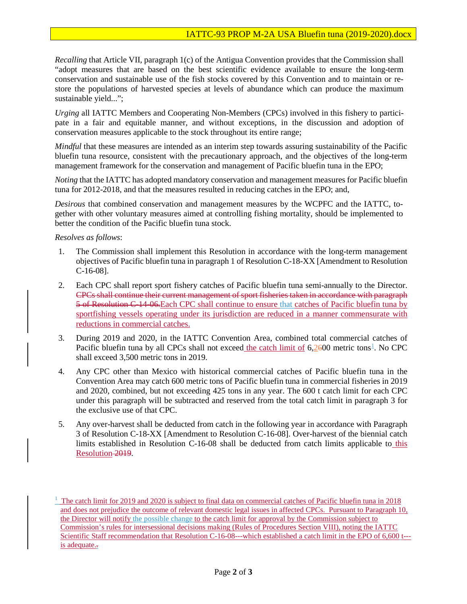*Recalling* that Article VII, paragraph 1(c) of the Antigua Convention provides that the Commission shall "adopt measures that are based on the best scientific evidence available to ensure the long-term conservation and sustainable use of the fish stocks covered by this Convention and to maintain or restore the populations of harvested species at levels of abundance which can produce the maximum sustainable yield...":

*Urging* all IATTC Members and Cooperating Non-Members (CPCs) involved in this fishery to participate in a fair and equitable manner, and without exceptions, in the discussion and adoption of conservation measures applicable to the stock throughout its entire range;

*Mindful* that these measures are intended as an interim step towards assuring sustainability of the Pacific bluefin tuna resource, consistent with the precautionary approach, and the objectives of the long-term management framework for the conservation and management of Pacific bluefin tuna in the EPO;

*Noting* that the IATTC has adopted mandatory conservation and management measures for Pacific bluefin tuna for 2012-2018, and that the measures resulted in reducing catches in the EPO; and,

*Desirous* that combined conservation and management measures by the WCPFC and the IATTC, together with other voluntary measures aimed at controlling fishing mortality, should be implemented to better the condition of the Pacific bluefin tuna stock.

*Resolves as follows*:

- 1. The Commission shall implement this Resolution in accordance with the long-term management objectives of Pacific bluefin tuna in paragraph 1 of Resolution C-18-XX [Amendment to Resolution C-16-08].
- 2. Each CPC shall report sport fishery catches of Pacific bluefin tuna semi-annually to the Director. CPCs shall continue their current management of sport fisheries taken in accordance with paragraph 5 of Resolution C-14-06.Each CPC shall continue to ensure that catches of Pacific bluefin tuna by sportfishing vessels operating under its jurisdiction are reduced in a manner commensurate with reductions in commercial catches.
- 3. During 2019 and 2020, in the IATTC Convention Area, combined total commercial catches of Pacific bluefin tuna by all CPCs shall not exceed the catch limit of 6,2600 metric tons<sup>[1](#page-1-0)</sup>. No CPC shall exceed 3,500 metric tons in 2019.
- 4. Any CPC other than Mexico with historical commercial catches of Pacific bluefin tuna in the Convention Area may catch 600 metric tons of Pacific bluefin tuna in commercial fisheries in 2019 and 2020, combined, but not exceeding 425 tons in any year. The 600 t catch limit for each CPC under this paragraph will be subtracted and reserved from the total catch limit in paragraph 3 for the exclusive use of that CPC.
- 5. Any over-harvest shall be deducted from catch in the following year in accordance with Paragraph 3 of Resolution C-18-XX [Amendment to Resolution C-16-08]. Over-harvest of the biennial catch limits established in Resolution C-16-08 shall be deducted from catch limits applicable to this Resolution 2019.

<span id="page-1-0"></span><sup>&</sup>lt;sup>1</sup> The catch limit for 2019 and 2020 is subject to final data on commercial catches of Pacific bluefin tuna in 2018 and does not prejudice the outcome of relevant domestic legal issues in affected CPCs. Pursuant to Paragraph 10, the Director will notify the possible change to the catch limit for approval by the Commission subject to Commission's rules for intersessional decisions making (Rules of Procedures Section VIII), noting the IATTC Scientific Staff recommendation that Resolution C-16-08---which established a catch limit in the EPO of 6,600 t--is adequate...